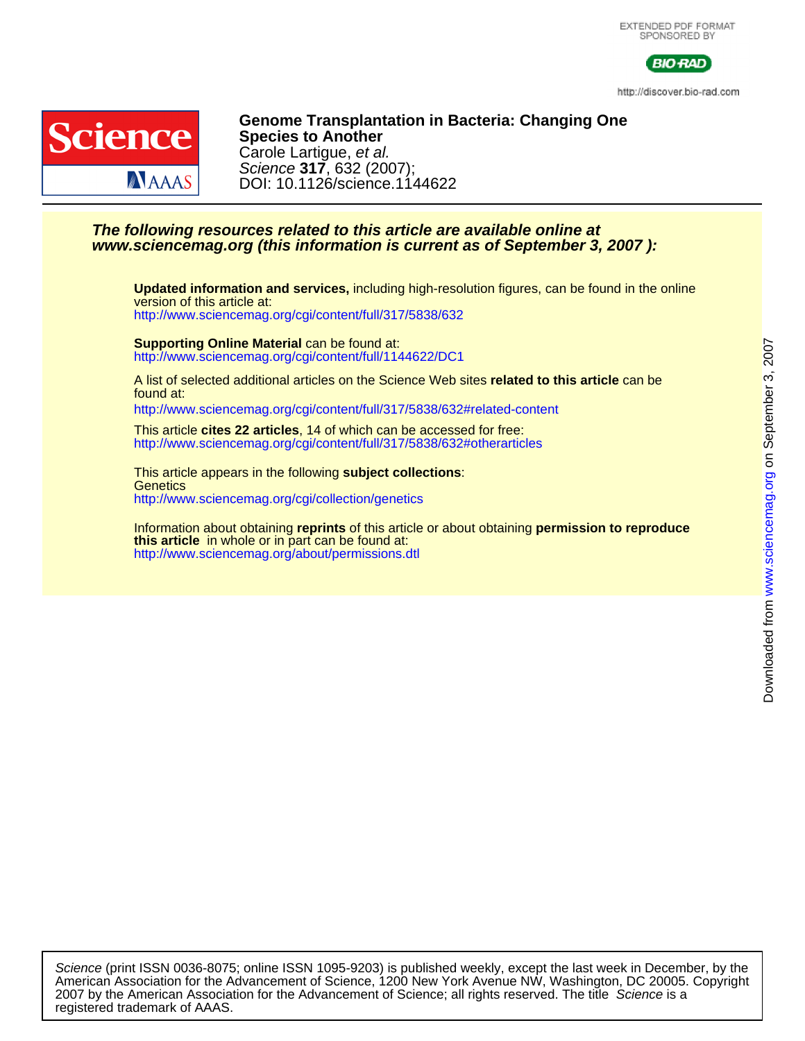

http://discover.bio-rad.com



## DOI: 10.1126/science.1144622 Science **317**, 632 (2007); Carole Lartigue, et al. **Species to Another Genome Transplantation in Bacteria: Changing One**

## **www.sciencemag.org (this information is current as of September 3, 2007 ): The following resources related to this article are available online at**

<http://www.sciencemag.org/cgi/content/full/317/5838/632> version of this article at: **Updated information and services,** including high-resolution figures, can be found in the online

<http://www.sciencemag.org/cgi/content/full/1144622/DC1> **Supporting Online Material** can be found at:

found at: A list of selected additional articles on the Science Web sites **related to this article** can be

<http://www.sciencemag.org/cgi/content/full/317/5838/632#related-content>

<http://www.sciencemag.org/cgi/content/full/317/5838/632#otherarticles> This article **cites 22 articles**, 14 of which can be accessed for free:

<http://www.sciencemag.org/cgi/collection/genetics> **Genetics** This article appears in the following **subject collections**:

<http://www.sciencemag.org/about/permissions.dtl> **this article** in whole or in part can be found at: Information about obtaining **reprints** of this article or about obtaining **permission to reproduce**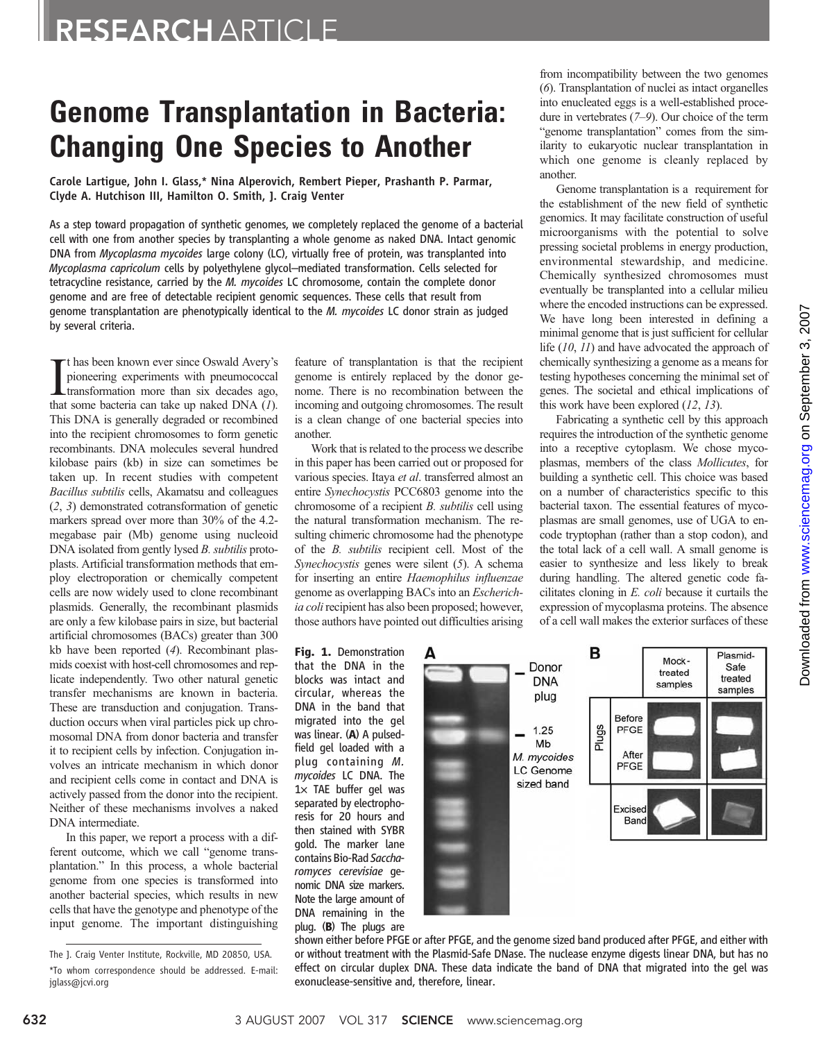# Genome Transplantation in Bacteria: Changing One Species to Another

Carole Lartigue, John I. Glass,\* Nina Alperovich, Rembert Pieper, Prashanth P. Parmar, Clyde A. Hutchison III, Hamilton O. Smith, J. Craig Venter

As a step toward propagation of synthetic genomes, we completely replaced the genome of a bacterial cell with one from another species by transplanting a whole genome as naked DNA. Intact genomic DNA from Mycoplasma mycoides large colony (LC), virtually free of protein, was transplanted into Mycoplasma capricolum cells by polyethylene glycol–mediated transformation. Cells selected for tetracycline resistance, carried by the M. mycoides LC chromosome, contain the complete donor genome and are free of detectable recipient genomic sequences. These cells that result from genome transplantation are phenotypically identical to the *M. mycoides* LC donor strain as judged by several criteria.

 $\prod$  thas been known ever since Oswald Avery's<br>pioneering experiments with pneumococcal<br>transformation more than six decades ago,<br>that some bacteria can take un naked DNA (1) t has been known ever since Oswald Avery's pioneering experiments with pneumococcal that some bacteria can take up naked DNA (1). This DNA is generally degraded or recombined into the recipient chromosomes to form genetic recombinants. DNA molecules several hundred kilobase pairs (kb) in size can sometimes be taken up. In recent studies with competent Bacillus subtilis cells, Akamatsu and colleagues (2, 3) demonstrated cotransformation of genetic markers spread over more than 30% of the 4.2 megabase pair (Mb) genome using nucleoid DNA isolated from gently lysed B. subtilis protoplasts. Artificial transformation methods that employ electroporation or chemically competent cells are now widely used to clone recombinant plasmids. Generally, the recombinant plasmids are only a few kilobase pairs in size, but bacterial artificial chromosomes (BACs) greater than 300 kb have been reported (4). Recombinant plasmids coexist with host-cell chromosomes and replicate independently. Two other natural genetic transfer mechanisms are known in bacteria. These are transduction and conjugation. Transduction occurs when viral particles pick up chromosomal DNA from donor bacteria and transfer it to recipient cells by infection. Conjugation involves an intricate mechanism in which donor and recipient cells come in contact and DNA is actively passed from the donor into the recipient. Neither of these mechanisms involves a naked DNA intermediate.

In this paper, we report a process with a different outcome, which we call "genome transplantation." In this process, a whole bacterial genome from one species is transformed into another bacterial species, which results in new cells that have the genotype and phenotype of the input genome. The important distinguishing feature of transplantation is that the recipient genome is entirely replaced by the donor genome. There is no recombination between the incoming and outgoing chromosomes. The result is a clean change of one bacterial species into another.

Work that is related to the process we describe in this paper has been carried out or proposed for various species. Itaya et al. transferred almost an entire Synechocystis PCC6803 genome into the chromosome of a recipient B. subtilis cell using the natural transformation mechanism. The resulting chimeric chromosome had the phenotype of the B. subtilis recipient cell. Most of the Synechocystis genes were silent (5). A schema for inserting an entire Haemophilus influenzae genome as overlapping BACs into an Escherichia coli recipient has also been proposed; however, those authors have pointed out difficulties arising

from incompatibility between the two genomes (6). Transplantation of nuclei as intact organelles into enucleated eggs is a well-established procedure in vertebrates (7–9). Our choice of the term "genome transplantation" comes from the similarity to eukaryotic nuclear transplantation in which one genome is cleanly replaced by another.

Genome transplantation is a requirement for the establishment of the new field of synthetic genomics. It may facilitate construction of useful microorganisms with the potential to solve pressing societal problems in energy production, environmental stewardship, and medicine. Chemically synthesized chromosomes must eventually be transplanted into a cellular milieu where the encoded instructions can be expressed. We have long been interested in defining a minimal genome that is just sufficient for cellular life (10, 11) and have advocated the approach of chemically synthesizing a genome as a means for testing hypotheses concerning the minimal set of genes. The societal and ethical implications of this work have been explored (12, 13).

Fabricating a synthetic cell by this approach requires the introduction of the synthetic genome into a receptive cytoplasm. We chose mycoplasmas, members of the class Mollicutes, for building a synthetic cell. This choice was based on a number of characteristics specific to this bacterial taxon. The essential features of mycoplasmas are small genomes, use of UGA to encode tryptophan (rather than a stop codon), and the total lack of a cell wall. A small genome is easier to synthesize and less likely to break during handling. The altered genetic code facilitates cloning in  $E$ . *coli* because it curtails the expression of mycoplasma proteins. The absence of a cell wall makes the exterior surfaces of these

Fig. 1. Demonstration that the DNA in the blocks was intact and circular, whereas the DNA in the band that migrated into the gel was linear. (A) A pulsedfield gel loaded with a plug containing M. mycoides LC DNA. The  $1 \times$  TAE buffer gel was separated by electrophoresis for 20 hours and then stained with SYBR gold. The marker lane contains Bio-Rad Saccharomyces cerevisiae genomic DNA size markers. Note the large amount of DNA remaining in the plug. (B) The plugs are



shown either before PFGE or after PFGE, and the genome sized band produced after PFGE, and either with or without treatment with the Plasmid-Safe DNase. The nuclease enzyme digests linear DNA, but has no effect on circular duplex DNA. These data indicate the band of DNA that migrated into the gel was exonuclease-sensitive and, therefore, linear.

The J. Craig Venter Institute, Rockville, MD 20850, USA.

<sup>\*</sup>To whom correspondence should be addressed. E-mail: jglass@jcvi.org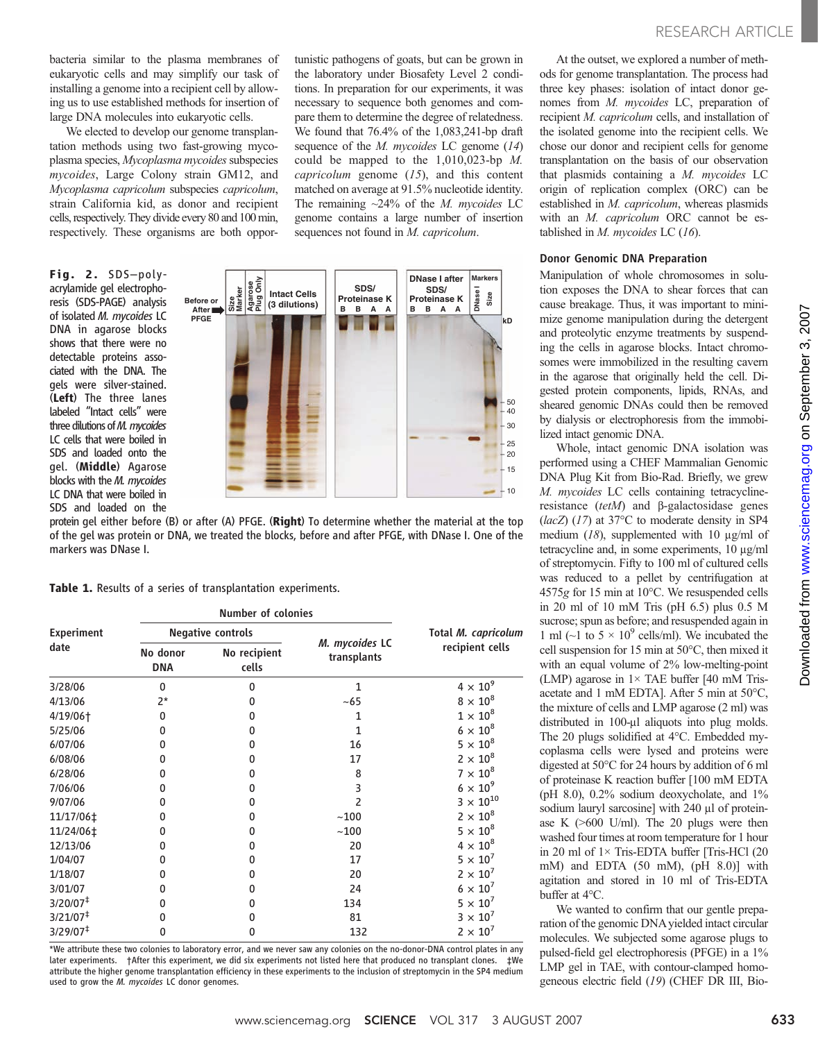bacteria similar to the plasma membranes of eukaryotic cells and may simplify our task of installing a genome into a recipient cell by allowing us to use established methods for insertion of large DNA molecules into eukaryotic cells.

We elected to develop our genome transplantation methods using two fast-growing mycoplasma species, Mycoplasma mycoides subspecies mycoides, Large Colony strain GM12, and Mycoplasma capricolum subspecies capricolum, strain California kid, as donor and recipient cells, respectively. They divide every 80 and 100 min, respectively. These organisms are both oppor-

Fig. 2. SDS–polyacrylamide gel electrophoresis (SDS-PAGE) analysis of isolated M. mycoides LC DNA in agarose blocks shows that there were no detectable proteins associated with the DNA. The gels were silver-stained. (Left) The three lanes labeled "Intact cells" were three dilutions of M. mycoides LC cells that were boiled in SDS and loaded onto the gel. (Middle) Agarose blocks with the M. mycoides LC DNA that were boiled in SDS and loaded on the



tunistic pathogens of goats, but can be grown in the laboratory under Biosafety Level 2 conditions. In preparation for our experiments, it was necessary to sequence both genomes and compare them to determine the degree of relatedness. We found that 76.4% of the 1,083,241-bp draft sequence of the  $M$ . mycoides LC genome  $(14)$ could be mapped to the  $1,010,023$ -bp  $M$ . capricolum genome  $(15)$ , and this content matched on average at 91.5% nucleotide identity. The remaining  $~24\%$  of the *M. mycoides* LC genome contains a large number of insertion sequences not found in *M. capricolum*.

protein gel either before (B) or after (A) PFGE. (Right) To determine whether the material at the top of the gel was protein or DNA, we treated the blocks, before and after PFGE, with DNase I. One of the markers was DNase I.

Table 1. Results of a series of transplantation experiments.

|                           | <b>Number of colonies</b> |                       |                               |                     |
|---------------------------|---------------------------|-----------------------|-------------------------------|---------------------|
| <b>Experiment</b><br>date | <b>Negative controls</b>  |                       |                               | Total M. capricolum |
|                           | No donor<br><b>DNA</b>    | No recipient<br>cells | M. mycoides LC<br>transplants | recipient cells     |
| 3/28/06                   | 0                         | 0                     | 1                             | $4 \times 10^9$     |
| 4/13/06                   | 2*                        | 0                     | $~1$ –65                      | $8 \times 10^8$     |
| 4/19/06†                  | 0                         | 0                     | 1                             | $1 \times 10^8$     |
| 5/25/06                   | 0                         | 0                     | 1                             | $6 \times 10^8$     |
| 6/07/06                   | 0                         | 0                     | 16                            | $5 \times 10^8$     |
| 6/08/06                   | 0                         | 0                     | 17                            | $2 \times 10^8$     |
| 6/28/06                   | o                         | o                     | 8                             | $7 \times 10^8$     |
| 7/06/06                   | 0                         | 0                     | 3                             | $6 \times 10^9$     |
| 9/07/06                   | 0                         | 0                     | 2                             | $3 \times 10^{10}$  |
| 11/17/06‡                 | 0                         | 0                     | ~100                          | $2 \times 10^8$     |
| 11/24/06‡                 | 0                         | 0                     | ~100                          | $5 \times 10^8$     |
| 12/13/06                  | o                         | 0                     | 20                            | $4 \times 10^8$     |
| 1/04/07                   | 0                         | 0                     | 17                            | $5 \times 10^7$     |
| 1/18/07                   | 0                         | 0                     | 20                            | $2 \times 10^7$     |
| 3/01/07                   | 0                         | 0                     | 24                            | $6 \times 10^7$     |
| $3/20/07^{\ddagger}$      | 0                         | 0                     | 134                           | $5 \times 10^7$     |
| $3/21/07^+$               | 0                         | 0                     | 81                            | $3 \times 10^7$     |
| $3/29/07^{\ddagger}$      | 0                         | 0                     | 132                           | $2 \times 10^7$     |

\*We attribute these two colonies to laboratory error, and we never saw any colonies on the no-donor-DNA control plates in any later experiments. †After this experiment, we did six experiments not listed here that produced no transplant clones. ‡We attribute the higher genome transplantation efficiency in these experiments to the inclusion of streptomycin in the SP4 medium used to grow the M. mycoides LC donor genomes.

## RESEARCH ARTICLE

At the outset, we explored a number of methods for genome transplantation. The process had three key phases: isolation of intact donor genomes from M. mycoides LC, preparation of recipient M. capricolum cells, and installation of the isolated genome into the recipient cells. We chose our donor and recipient cells for genome transplantation on the basis of our observation that plasmids containing a M. mycoides LC origin of replication complex (ORC) can be established in M. capricolum, whereas plasmids with an M. capricolum ORC cannot be established in  $M$ . mycoides LC (16).

### Donor Genomic DNA Preparation

Manipulation of whole chromosomes in solution exposes the DNA to shear forces that can cause breakage. Thus, it was important to minimize genome manipulation during the detergent and proteolytic enzyme treatments by suspending the cells in agarose blocks. Intact chromosomes were immobilized in the resulting cavern in the agarose that originally held the cell. Digested protein components, lipids, RNAs, and sheared genomic DNAs could then be removed by dialysis or electrophoresis from the immobilized intact genomic DNA.

Whole, intact genomic DNA isolation was performed using a CHEF Mammalian Genomic DNA Plug Kit from Bio-Rad. Briefly, we grew M. mycoides LC cells containing tetracyclineresistance ( $tetM$ ) and  $\beta$ -galactosidase genes  $(lacZ)$  (17) at 37°C to moderate density in SP4 medium  $(18)$ , supplemented with 10  $\mu$ g/ml of tetracycline and, in some experiments,  $10 \mu g/ml$ of streptomycin. Fifty to 100 ml of cultured cells was reduced to a pellet by centrifugation at 4575g for 15 min at 10°C. We resuspended cells in 20 ml of 10 mM Tris (pH 6.5) plus 0.5 M sucrose; spun as before; and resuspended again in 1 ml ( $\sim$ 1 to 5  $\times$  10<sup>9</sup> cells/ml). We incubated the cell suspension for 15 min at 50°C, then mixed it with an equal volume of 2% low-melting-point (LMP) agarose in  $1 \times$  TAE buffer [40 mM Trisacetate and 1 mM EDTA]. After 5 min at 50°C, the mixture of cells and LMP agarose (2 ml) was distributed in  $100-\mu l$  aliquots into plug molds. The 20 plugs solidified at 4°C. Embedded mycoplasma cells were lysed and proteins were digested at 50°C for 24 hours by addition of 6 ml of proteinase K reaction buffer [100 mM EDTA (pH 8.0), 0.2% sodium deoxycholate, and 1% sodium lauryl sarcosine] with  $240 \mu l$  of proteinase K (>600 U/ml). The 20 plugs were then washed four times at room temperature for 1 hour in 20 ml of 1× Tris-EDTA buffer [Tris-HCl (20 mM) and EDTA (50 mM), (pH 8.0)] with agitation and stored in 10 ml of Tris-EDTA buffer at 4°C.

We wanted to confirm that our gentle preparation of the genomic DNAyielded intact circular molecules. We subjected some agarose plugs to pulsed-field gel electrophoresis (PFGE) in a 1% LMP gel in TAE, with contour-clamped homogeneous electric field (19) (CHEF DR III, Bio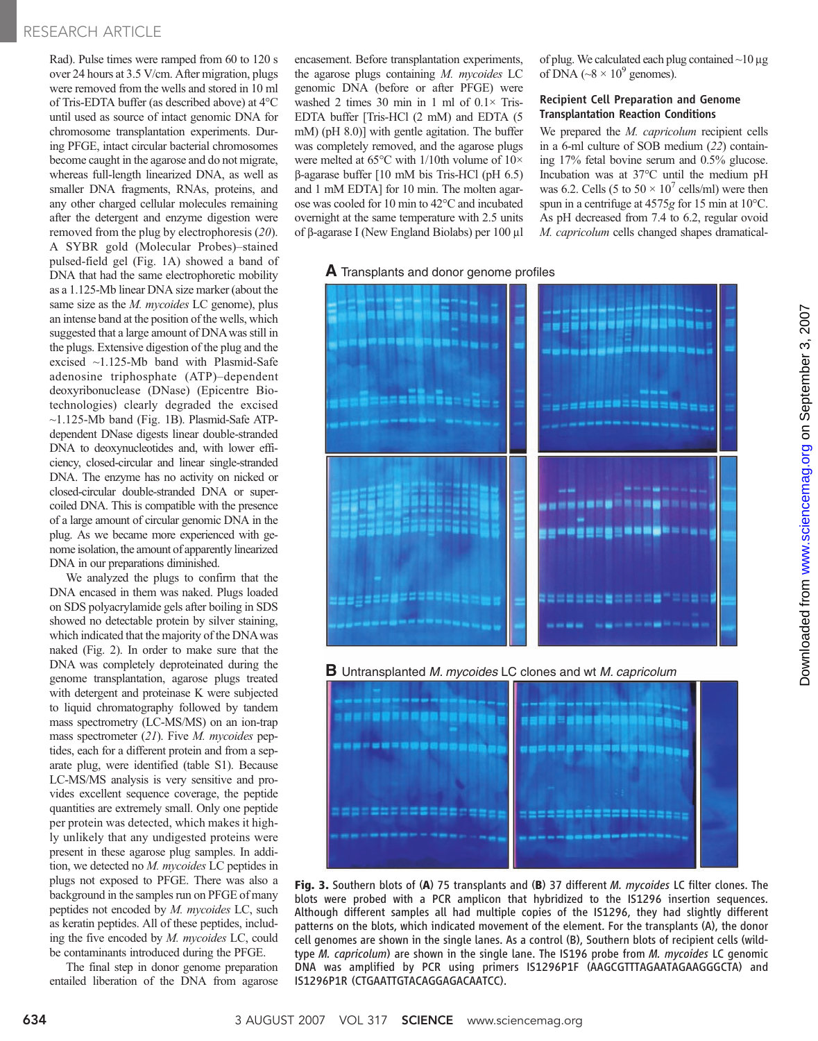Rad). Pulse times were ramped from 60 to 120 s over 24 hours at 3.5 V/cm. After migration, plugs were removed from the wells and stored in 10 ml of Tris-EDTA buffer (as described above) at 4°C until used as source of intact genomic DNA for chromosome transplantation experiments. During PFGE, intact circular bacterial chromosomes become caught in the agarose and do not migrate, whereas full-length linearized DNA, as well as smaller DNA fragments, RNAs, proteins, and any other charged cellular molecules remaining after the detergent and enzyme digestion were removed from the plug by electrophoresis (20). A SYBR gold (Molecular Probes)–stained pulsed-field gel (Fig. 1A) showed a band of DNA that had the same electrophoretic mobility as a 1.125-Mb linear DNA size marker (about the same size as the *M. mycoides* LC genome), plus an intense band at the position of the wells, which suggested that a large amount of DNAwas still in the plugs. Extensive digestion of the plug and the excised ~1.125-Mb band with Plasmid-Safe adenosine triphosphate (ATP)–dependent deoxyribonuclease (DNase) (Epicentre Biotechnologies) clearly degraded the excised  $\sim$ 1.125-Mb band (Fig. 1B). Plasmid-Safe ATPdependent DNase digests linear double-stranded DNA to deoxynucleotides and, with lower efficiency, closed-circular and linear single-stranded DNA. The enzyme has no activity on nicked or closed-circular double-stranded DNA or supercoiled DNA. This is compatible with the presence of a large amount of circular genomic DNA in the plug. As we became more experienced with genome isolation, the amount of apparently linearized DNA in our preparations diminished.

We analyzed the plugs to confirm that the DNA encased in them was naked. Plugs loaded on SDS polyacrylamide gels after boiling in SDS showed no detectable protein by silver staining, which indicated that the majority of the DNAwas naked (Fig. 2). In order to make sure that the DNA was completely deproteinated during the genome transplantation, agarose plugs treated with detergent and proteinase K were subjected to liquid chromatography followed by tandem mass spectrometry (LC-MS/MS) on an ion-trap mass spectrometer (21). Five M. mycoides peptides, each for a different protein and from a separate plug, were identified (table S1). Because LC-MS/MS analysis is very sensitive and provides excellent sequence coverage, the peptide quantities are extremely small. Only one peptide per protein was detected, which makes it highly unlikely that any undigested proteins were present in these agarose plug samples. In addition, we detected no M. mycoides LC peptides in plugs not exposed to PFGE. There was also a background in the samples run on PFGE of many peptides not encoded by M. mycoides LC, such as keratin peptides. All of these peptides, including the five encoded by M. mycoides LC, could be contaminants introduced during the PFGE.

The final step in donor genome preparation entailed liberation of the DNA from agarose encasement. Before transplantation experiments, the agarose plugs containing  $M$ . *mycoides* LC genomic DNA (before or after PFGE) were washed 2 times 30 min in 1 ml of  $0.1 \times$  Tris-EDTA buffer [Tris-HCl (2 mM) and EDTA (5 mM) (pH 8.0)] with gentle agitation. The buffer was completely removed, and the agarose plugs were melted at 65°C with 1/10th volume of 10× b-agarase buffer [10 mM bis Tris-HCl (pH 6.5) and 1 mM EDTA] for 10 min. The molten agarose was cooled for 10 min to 42°C and incubated overnight at the same temperature with 2.5 units of  $\beta$ -agarase I (New England Biolabs) per 100 µl

of plug. We calculated each plug contained  $\sim$ 10  $\mu$ g of DNA ( $\sim 8 \times 10^9$  genomes).

## Recipient Cell Preparation and Genome Transplantation Reaction Conditions

We prepared the *M. capricolum* recipient cells in a 6-ml culture of SOB medium (22) containing 17% fetal bovine serum and 0.5% glucose. Incubation was at 37°C until the medium pH was 6.2. Cells (5 to  $50 \times 10^{7}$  cells/ml) were then spun in a centrifuge at 4575g for 15 min at 10°C. As pH decreased from 7.4 to 6.2, regular ovoid M. capricolum cells changed shapes dramatical-

### **A** Transplants and donor genome profiles



**B** Untransplanted *M. mycoides* LC clones and wt *M. capricolum*



Fig. 3. Southern blots of (A) 75 transplants and (B) 37 different *M. mycoides* LC filter clones. The blots were probed with a PCR amplicon that hybridized to the IS1296 insertion sequences. Although different samples all had multiple copies of the IS1296, they had slightly different patterns on the blots, which indicated movement of the element. For the transplants (A), the donor cell genomes are shown in the single lanes. As a control (B), Southern blots of recipient cells (wildtype M. capricolum) are shown in the single lane. The IS196 probe from M. mycoides LC genomic DNA was amplified by PCR using primers IS1296P1F (AAGCGTTTAGAATAGAAGGGCTA) and IS1296P1R (CTGAATTGTACAGGAGACAATCC).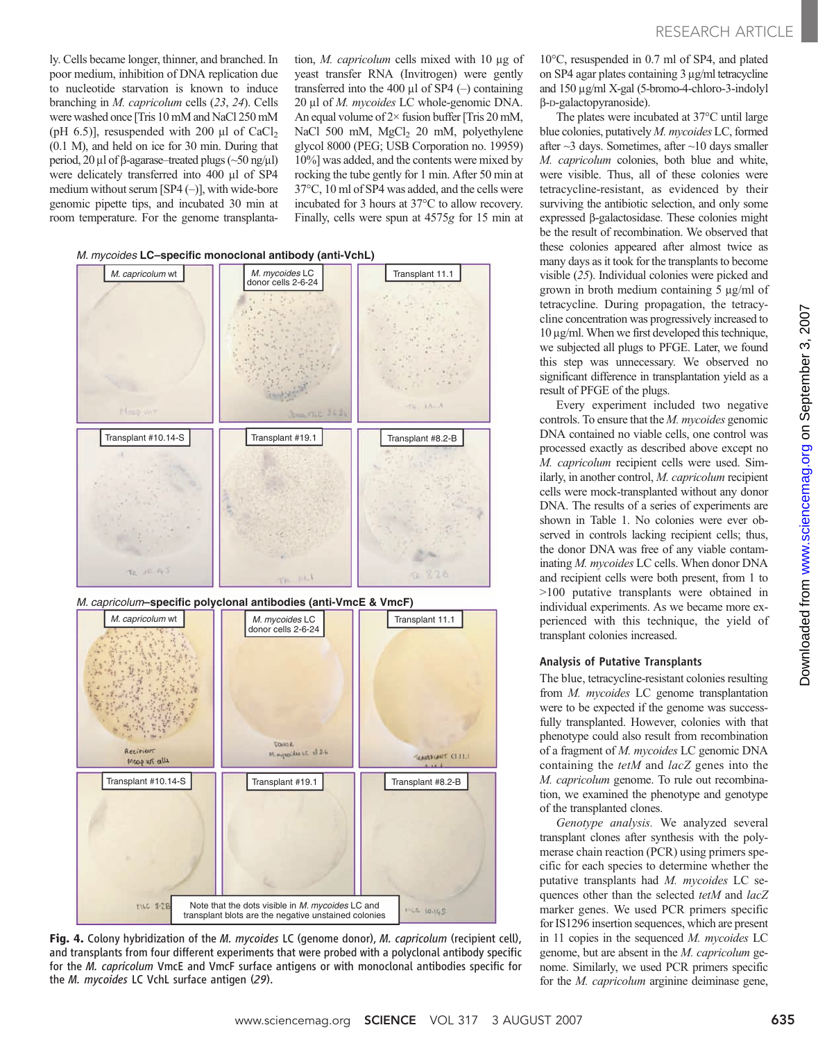ly. Cells became longer, thinner, and branched. In poor medium, inhibition of DNA replication due to nucleotide starvation is known to induce branching in M. capricolum cells (23, 24). Cells were washed once [Tris 10 mM and NaCl 250 mM (pH  $(6.5)$ ], resuspended with 200 µl of CaCl<sub>2</sub> (0.1 M), and held on ice for 30 min. During that period, 20  $\mu$ l of  $\beta$ -agarase–treated plugs (~50 ng/ $\mu$ l) were delicately transferred into 400 µl of SP4 medium without serum [SP4 (–)], with wide-bore genomic pipette tips, and incubated 30 min at room temperature. For the genome transplantation, *M. capricolum* cells mixed with 10  $\mu$ g of yeast transfer RNA (Invitrogen) were gently transferred into the 400  $\mu$ l of SP4 (–) containing 20 µl of M. mycoides LC whole-genomic DNA. An equal volume of  $2 \times$  fusion buffer [Tris 20 mM, NaCl 500 mM, MgCl<sub>2</sub> 20 mM, polyethylene glycol 8000 (PEG; USB Corporation no. 19959) 10%] was added, and the contents were mixed by rocking the tube gently for 1 min. After 50 min at 37°C, 10 ml of SP4 was added, and the cells were incubated for 3 hours at 37°C to allow recovery. Finally, cells were spun at 4575g for 15 min at





*M. capricolum***–specific polyclonal antibodies (anti-VmcE & VmcF)**



Fig. 4. Colony hybridization of the *M. mycoides* LC (genome donor), *M. capricolum* (recipient cell), and transplants from four different experiments that were probed with a polyclonal antibody specific for the M. capricolum VmcE and VmcF surface antigens or with monoclonal antibodies specific for the *M. mycoides* LC VchL surface antigen (29).

10°C, resuspended in 0.7 ml of SP4, and plated on SP4 agar plates containing  $3 \mu$ g/ml tetracycline and 150 µg/ml X-gal (5-bromo-4-chloro-3-indolyl b-D-galactopyranoside).

The plates were incubated at 37°C until large blue colonies, putatively M. mycoides LC, formed after  $\sim$ 3 days. Sometimes, after  $\sim$ 10 days smaller M. capricolum colonies, both blue and white, were visible. Thus, all of these colonies were tetracycline-resistant, as evidenced by their surviving the antibiotic selection, and only some expressed b-galactosidase. These colonies might be the result of recombination. We observed that these colonies appeared after almost twice as many days as it took for the transplants to become visible (25). Individual colonies were picked and grown in broth medium containing  $5 \mu g/ml$  of tetracycline. During propagation, the tetracycline concentration was progressively increased to  $10 \mu g/ml$ . When we first developed this technique, we subjected all plugs to PFGE. Later, we found this step was unnecessary. We observed no significant difference in transplantation yield as a result of PFGE of the plugs.

Every experiment included two negative controls. To ensure that the M. mycoides genomic DNA contained no viable cells, one control was processed exactly as described above except no M. capricolum recipient cells were used. Similarly, in another control, M. capricolum recipient cells were mock-transplanted without any donor DNA. The results of a series of experiments are shown in Table 1. No colonies were ever observed in controls lacking recipient cells; thus, the donor DNA was free of any viable contaminating M. mycoides LC cells. When donor DNA and recipient cells were both present, from 1 to >100 putative transplants were obtained in individual experiments. As we became more experienced with this technique, the yield of transplant colonies increased.

## Analysis of Putative Transplants

The blue, tetracycline-resistant colonies resulting from M. mycoides LC genome transplantation were to be expected if the genome was successfully transplanted. However, colonies with that phenotype could also result from recombination of a fragment of M. mycoides LC genomic DNA containing the  $tetM$  and  $lacZ$  genes into the M. capricolum genome. To rule out recombination, we examined the phenotype and genotype of the transplanted clones.

Genotype analysis. We analyzed several transplant clones after synthesis with the polymerase chain reaction (PCR) using primers specific for each species to determine whether the putative transplants had M. mycoides LC sequences other than the selected tetM and lacZ marker genes. We used PCR primers specific for IS1296 insertion sequences, which are present in 11 copies in the sequenced M. mycoides LC genome, but are absent in the M. capricolum genome. Similarly, we used PCR primers specific for the M. capricolum arginine deiminase gene,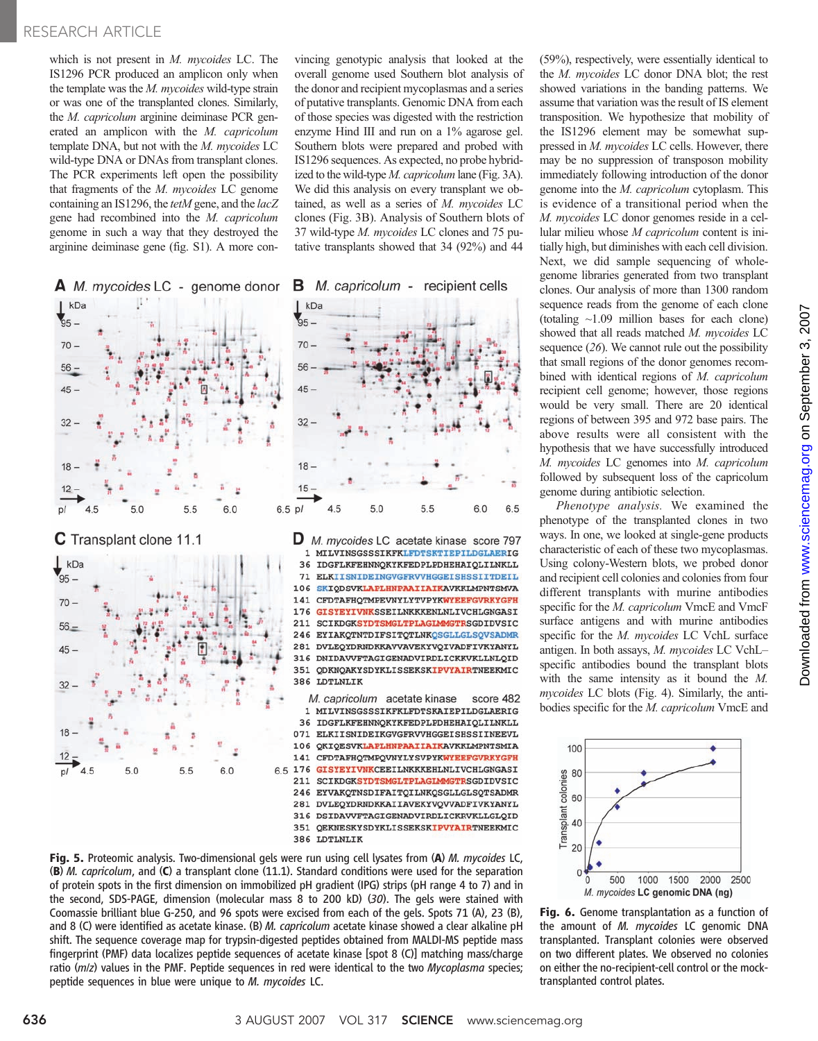## RESEARCH ARTICLE

which is not present in *M. mycoides* LC. The IS1296 PCR produced an amplicon only when the template was the  $M.$  mycoides wild-type strain or was one of the transplanted clones. Similarly, the M. capricolum arginine deiminase PCR generated an amplicon with the M. capricolum template DNA, but not with the M. mycoides LC wild-type DNA or DNAs from transplant clones. The PCR experiments left open the possibility that fragments of the M. mycoides LC genome containing an IS1296, the tetM gene, and the  $lacZ$ gene had recombined into the M. capricolum genome in such a way that they destroyed the arginine deiminase gene (fig. S1). A more convincing genotypic analysis that looked at the overall genome used Southern blot analysis of the donor and recipient mycoplasmas and a series of putative transplants. Genomic DNA from each of those species was digested with the restriction enzyme Hind III and run on a 1% agarose gel. Southern blots were prepared and probed with IS1296 sequences. As expected, no probe hybridized to the wild-type M. capricolum lane (Fig. 3A). We did this analysis on every transplant we obtained, as well as a series of M. mycoides LC clones (Fig. 3B). Analysis of Southern blots of 37 wild-type M. mycoides LC clones and 75 putative transplants showed that 34 (92%) and 44





(59%), respectively, were essentially identical to the *M. mycoides* LC donor DNA blot; the rest showed variations in the banding patterns. We assume that variation was the result of IS element transposition. We hypothesize that mobility of the IS1296 element may be somewhat suppressed in M. mycoides LC cells. However, there may be no suppression of transposon mobility immediately following introduction of the donor genome into the M. capricolum cytoplasm. This is evidence of a transitional period when the M. mycoides LC donor genomes reside in a cellular milieu whose M capricolum content is initially high, but diminishes with each cell division. Next, we did sample sequencing of wholegenome libraries generated from two transplant clones. Our analysis of more than 1300 random sequence reads from the genome of each clone (totaling ~1.09 million bases for each clone) showed that all reads matched M. mycoides LC sequence (26). We cannot rule out the possibility that small regions of the donor genomes recombined with identical regions of M. capricolum recipient cell genome; however, those regions would be very small. There are 20 identical regions of between 395 and 972 base pairs. The above results were all consistent with the hypothesis that we have successfully introduced M. mycoides LC genomes into M. capricolum followed by subsequent loss of the capricolum genome during antibiotic selection.

Phenotype analysis. We examined the phenotype of the transplanted clones in two ways. In one, we looked at single-gene products characteristic of each of these two mycoplasmas. Using colony-Western blots, we probed donor and recipient cell colonies and colonies from four different transplants with murine antibodies specific for the M. capricolum VmcE and VmcF surface antigens and with murine antibodies specific for the M. mycoides LC VchL surface antigen. In both assays, M. mycoides LC VchL– specific antibodies bound the transplant blots with the same intensity as it bound the M. mycoides LC blots (Fig. 4). Similarly, the antibodies specific for the M. capricolum VmcE and



Fig. 6. Genome transplantation as a function of the amount of M. mycoides LC genomic DNA transplanted. Transplant colonies were observed on two different plates. We observed no colonies on either the no-recipient-cell control or the mocktransplanted control plates.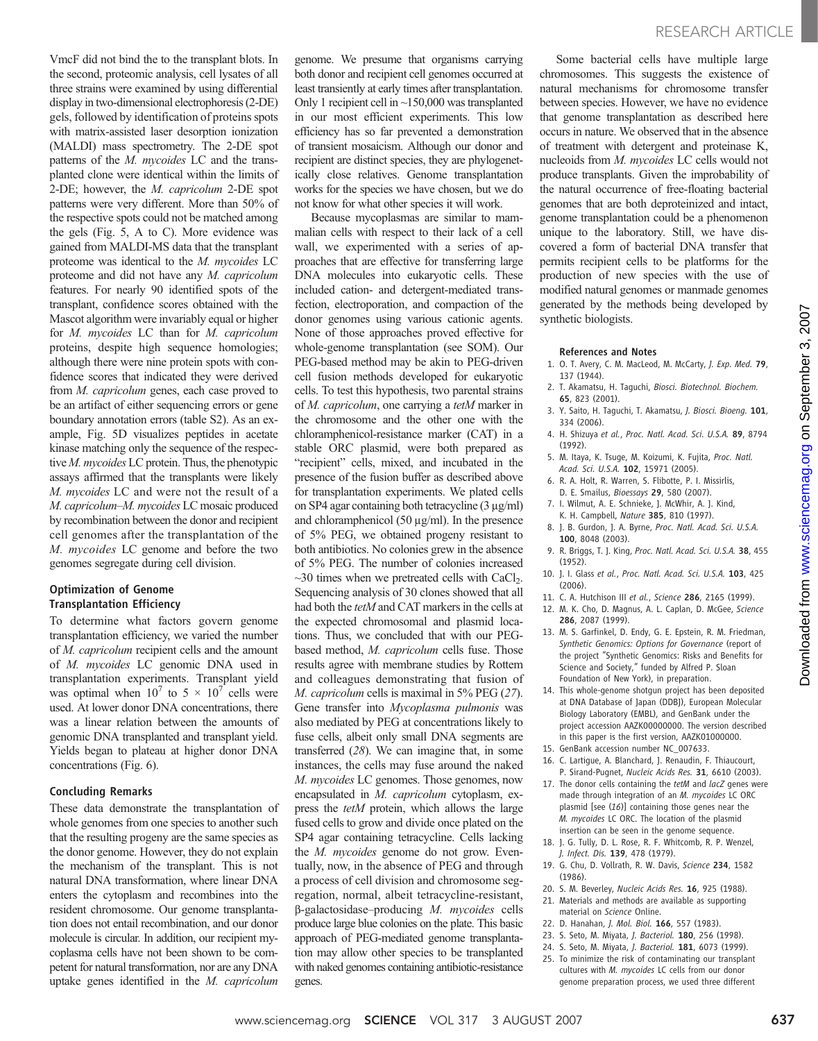VmcF did not bind the to the transplant blots. In the second, proteomic analysis, cell lysates of all three strains were examined by using differential display in two-dimensional electrophoresis (2-DE) gels, followed by identification of proteins spots with matrix-assisted laser desorption ionization (MALDI) mass spectrometry. The 2-DE spot patterns of the M. mycoides LC and the transplanted clone were identical within the limits of 2-DE; however, the M. capricolum 2-DE spot patterns were very different. More than 50% of the respective spots could not be matched among the gels (Fig. 5, A to C). More evidence was gained from MALDI-MS data that the transplant proteome was identical to the M. mycoides LC proteome and did not have any M. capricolum features. For nearly 90 identified spots of the transplant, confidence scores obtained with the Mascot algorithm were invariably equal or higher for M. mycoides LC than for M. capricolum proteins, despite high sequence homologies; although there were nine protein spots with confidence scores that indicated they were derived from M. capricolum genes, each case proved to be an artifact of either sequencing errors or gene boundary annotation errors (table S2). As an example, Fig. 5D visualizes peptides in acetate kinase matching only the sequence of the respective *M. mycoides* LC protein. Thus, the phenotypic assays affirmed that the transplants were likely M. mycoides LC and were not the result of a M. capricolum–M. mycoides LC mosaic produced by recombination between the donor and recipient cell genomes after the transplantation of the M. mycoides LC genome and before the two genomes segregate during cell division.

### Optimization of Genome Transplantation Efficiency

To determine what factors govern genome transplantation efficiency, we varied the number of M. capricolum recipient cells and the amount of M. mycoides LC genomic DNA used in transplantation experiments. Transplant yield was optimal when  $10^7$  to  $5 \times 10^7$  cells were used. At lower donor DNA concentrations, there was a linear relation between the amounts of genomic DNA transplanted and transplant yield. Yields began to plateau at higher donor DNA concentrations (Fig. 6).

#### Concluding Remarks

These data demonstrate the transplantation of whole genomes from one species to another such that the resulting progeny are the same species as the donor genome. However, they do not explain the mechanism of the transplant. This is not natural DNA transformation, where linear DNA enters the cytoplasm and recombines into the resident chromosome. Our genome transplantation does not entail recombination, and our donor molecule is circular. In addition, our recipient mycoplasma cells have not been shown to be competent for natural transformation, nor are any DNA uptake genes identified in the M. capricolum

genome. We presume that organisms carrying both donor and recipient cell genomes occurred at least transiently at early times after transplantation. Only 1 recipient cell in ~150,000 was transplanted in our most efficient experiments. This low efficiency has so far prevented a demonstration of transient mosaicism. Although our donor and recipient are distinct species, they are phylogenetically close relatives. Genome transplantation works for the species we have chosen, but we do not know for what other species it will work.

Because mycoplasmas are similar to mammalian cells with respect to their lack of a cell wall, we experimented with a series of approaches that are effective for transferring large DNA molecules into eukaryotic cells. These included cation- and detergent-mediated transfection, electroporation, and compaction of the donor genomes using various cationic agents. None of those approaches proved effective for whole-genome transplantation (see SOM). Our PEG-based method may be akin to PEG-driven cell fusion methods developed for eukaryotic cells. To test this hypothesis, two parental strains of M. capricolum, one carrying a tetM marker in the chromosome and the other one with the chloramphenicol-resistance marker (CAT) in a stable ORC plasmid, were both prepared as "recipient" cells, mixed, and incubated in the presence of the fusion buffer as described above for transplantation experiments. We plated cells on SP4 agar containing both tetracycline  $(3 \mu g/ml)$ and chloramphenicol (50  $\mu$ g/ml). In the presence of 5% PEG, we obtained progeny resistant to both antibiotics. No colonies grew in the absence of 5% PEG. The number of colonies increased  $\sim$ 30 times when we pretreated cells with CaCl<sub>2</sub>. Sequencing analysis of 30 clones showed that all had both the tetM and CAT markers in the cells at the expected chromosomal and plasmid locations. Thus, we concluded that with our PEGbased method, M. capricolum cells fuse. Those results agree with membrane studies by Rottem and colleagues demonstrating that fusion of M. capricolum cells is maximal in 5% PEG (27). Gene transfer into Mycoplasma pulmonis was also mediated by PEG at concentrations likely to fuse cells, albeit only small DNA segments are transferred (28). We can imagine that, in some instances, the cells may fuse around the naked M. mycoides LC genomes. Those genomes, now encapsulated in M. capricolum cytoplasm, express the tetM protein, which allows the large fused cells to grow and divide once plated on the SP4 agar containing tetracycline. Cells lacking the *M. mycoides* genome do not grow. Eventually, now, in the absence of PEG and through a process of cell division and chromosome segregation, normal, albeit tetracycline-resistant, b-galactosidase–producing M. mycoides cells produce large blue colonies on the plate. This basic approach of PEG-mediated genome transplantation may allow other species to be transplanted with naked genomes containing antibiotic-resistance genes.

Some bacterial cells have multiple large chromosomes. This suggests the existence of natural mechanisms for chromosome transfer between species. However, we have no evidence that genome transplantation as described here occurs in nature. We observed that in the absence of treatment with detergent and proteinase K, nucleoids from M. mycoides LC cells would not produce transplants. Given the improbability of the natural occurrence of free-floating bacterial genomes that are both deproteinized and intact, genome transplantation could be a phenomenon unique to the laboratory. Still, we have discovered a form of bacterial DNA transfer that permits recipient cells to be platforms for the production of new species with the use of modified natural genomes or manmade genomes generated by the methods being developed by synthetic biologists.

#### References and Notes

- 1. O. T. Avery, C. M. MacLeod, M. McCarty, J. Exp. Med. 79, 137 (1944).
- 2. T. Akamatsu, H. Taguchi, Biosci. Biotechnol. Biochem. 65, 823 (2001).
- 3. Y. Saito, H. Taguchi, T. Akamatsu, J. Biosci. Bioeng. 101, 334 (2006).
- 4. H. Shizuya et al., Proc. Natl. Acad. Sci. U.S.A. 89, 8794 (1992).
- 5. M. Itaya, K. Tsuge, M. Koizumi, K. Fujita, Proc. Natl. Acad. Sci. U.S.A. 102, 15971 (2005).
- 6. R. A. Holt, R. Warren, S. Flibotte, P. I. Missirlis, D. E. Smailus, Bioessays 29, 580 (2007).
- 7. I. Wilmut, A. E. Schnieke, J. McWhir, A. J. Kind, K. H. Campbell, Nature 385, 810 (1997).
- 8. J. B. Gurdon, J. A. Byrne, Proc. Natl. Acad. Sci. U.S.A. 100, 8048 (2003).
- 9. R. Briggs, T. J. King, Proc. Natl. Acad. Sci. U.S.A. 38, 455 (1952).
- 10. J. I. Glass et al., Proc. Natl. Acad. Sci. U.S.A. 103, 425 (2006).
- 11. C. A. Hutchison III et al., Science 286, 2165 (1999). 12. M. K. Cho, D. Magnus, A. L. Caplan, D. McGee, Science 286, 2087 (1999).
- 13. M. S. Garfinkel, D. Endy, G. E. Epstein, R. M. Friedman, Synthetic Genomics: Options for Governance (report of the project "Synthetic Genomics: Risks and Benefits for Science and Society," funded by Alfred P. Sloan Foundation of New York), in preparation.
- 14. This whole-genome shotgun project has been deposited at DNA Database of Japan (DDBJ), European Molecular Biology Laboratory (EMBL), and GenBank under the project accession AAZK00000000. The version described in this paper is the first version, AAZK01000000.
- 15. GenBank accession number NC\_007633.
- 16. C. Lartigue, A. Blanchard, J. Renaudin, F. Thiaucourt, P. Sirand-Pugnet, Nucleic Acids Res. 31, 6610 (2003).
- 17. The donor cells containing the tetM and lacZ genes were made through integration of an M. mycoides LC ORC plasmid [see (16)] containing those genes near the M. mycoides LC ORC. The location of the plasmid insertion can be seen in the genome sequence.
- 18. J. G. Tully, D. L. Rose, R. F. Whitcomb, R. P. Wenzel, J. Infect. Dis. 139, 478 (1979).
- 19. G. Chu, D. Vollrath, R. W. Davis, Science 234, 1582 (1986).
- 20. S. M. Beverley, Nucleic Acids Res. 16, 925 (1988). 21. Materials and methods are available as supporting
- material on Science Online.
- 22. D. Hanahan, J. Mol. Biol. 166, 557 (1983).
- 23. S. Seto, M. Miyata, J. Bacteriol. 180, 256 (1998).
- 24. S. Seto, M. Miyata, J. Bacteriol. 181, 6073 (1999).
- 25. To minimize the risk of contaminating our transplant cultures with M. mycoides LC cells from our donor genome preparation process, we used three different